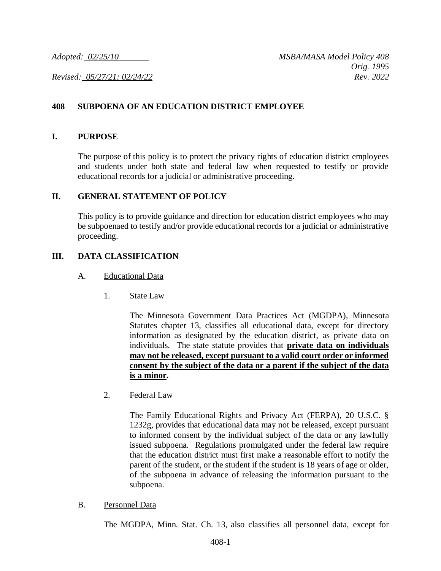## **408 SUBPOENA OF AN EDUCATION DISTRICT EMPLOYEE**

#### **I. PURPOSE**

The purpose of this policy is to protect the privacy rights of education district employees and students under both state and federal law when requested to testify or provide educational records for a judicial or administrative proceeding.

### **II. GENERAL STATEMENT OF POLICY**

This policy is to provide guidance and direction for education district employees who may be subpoenaed to testify and/or provide educational records for a judicial or administrative proceeding.

## **III. DATA CLASSIFICATION**

#### A. Educational Data

1. State Law

The Minnesota Government Data Practices Act (MGDPA), Minnesota Statutes chapter 13, classifies all educational data, except for directory information as designated by the education district, as private data on individuals. The state statute provides that **private data on individuals may not be released, except pursuant to a valid court order or informed consent by the subject of the data or a parent if the subject of the data is a minor.**

2. Federal Law

The Family Educational Rights and Privacy Act (FERPA), 20 U.S.C. § 1232g, provides that educational data may not be released, except pursuant to informed consent by the individual subject of the data or any lawfully issued subpoena. Regulations promulgated under the federal law require that the education district must first make a reasonable effort to notify the parent of the student, or the student if the student is 18 years of age or older, of the subpoena in advance of releasing the information pursuant to the subpoena.

B. Personnel Data

The MGDPA, Minn. Stat. Ch. 13, also classifies all personnel data, except for